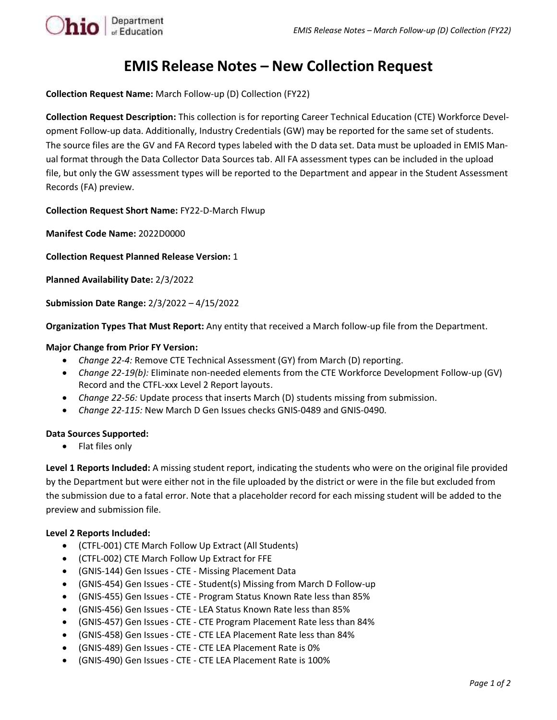

## **EMIS Release Notes – New Collection Request**

**Collection Request Name:** March Follow-up (D) Collection (FY22)

**Collection Request Description:** This collection is for reporting Career Technical Education (CTE) Workforce Development Follow-up data. Additionally, Industry Credentials (GW) may be reported for the same set of students. The source files are the GV and FA Record types labeled with the D data set. Data must be uploaded in EMIS Manual format through the Data Collector Data Sources tab. All FA assessment types can be included in the upload file, but only the GW assessment types will be reported to the Department and appear in the Student Assessment Records (FA) preview.

**Collection Request Short Name:** FY22-D-March Flwup

**Manifest Code Name:** 2022D0000

**Collection Request Planned Release Version:** 1

**Planned Availability Date:** 2/3/2022

**Submission Date Range:** 2/3/2022 – 4/15/2022

**Organization Types That Must Report:** Any entity that received a March follow-up file from the Department.

## **Major Change from Prior FY Version:**

- *Change 22-4:* Remove CTE Technical Assessment (GY) from March (D) reporting.
- *Change 22-19(b):* Eliminate non-needed elements from the CTE Workforce Development Follow-up (GV) Record and the CTFL-xxx Level 2 Report layouts.
- *Change 22-56:* Update process that inserts March (D) students missing from submission.
- *Change 22-115:* New March D Gen Issues checks GNIS-0489 and GNIS-0490.

## **Data Sources Supported:**

• Flat files only

**Level 1 Reports Included:** A missing student report, indicating the students who were on the original file provided by the Department but were either not in the file uploaded by the district or were in the file but excluded from the submission due to a fatal error. Note that a placeholder record for each missing student will be added to the preview and submission file.

## **Level 2 Reports Included:**

- (CTFL-001) CTE March Follow Up Extract (All Students)
- (CTFL-002) CTE March Follow Up Extract for FFE
- (GNIS-144) Gen Issues CTE Missing Placement Data
- (GNIS-454) Gen Issues CTE Student(s) Missing from March D Follow-up
- (GNIS-455) Gen Issues CTE Program Status Known Rate less than 85%
- (GNIS-456) Gen Issues CTE LEA Status Known Rate less than 85%
- (GNIS-457) Gen Issues CTE CTE Program Placement Rate less than 84%
- (GNIS-458) Gen Issues CTE CTE LEA Placement Rate less than 84%
- (GNIS-489) Gen Issues CTE CTE LEA Placement Rate is 0%
- (GNIS-490) Gen Issues CTE CTE LEA Placement Rate is 100%